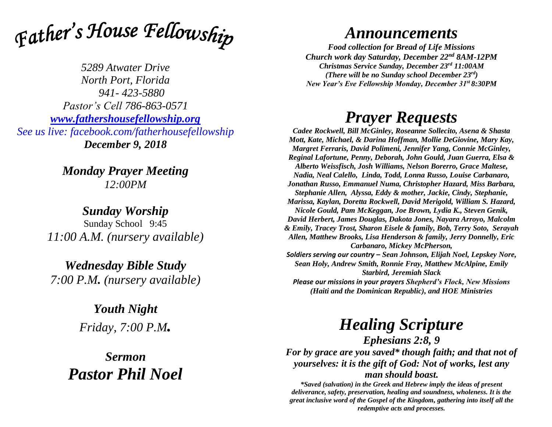

*5289 Atwater Drive North Port, Florida 941- 423-5880 Pastor's Cell 786-863-0571 [www.fathershousefellowship.org](http://www.fathershousefellowship.org/) See us live: facebook.com/fatherhousefellowship December 9, 2018*

> *Monday Prayer Meeting 12:00PM*

*Sunday Worship* Sunday School 9:45 *11:00 A.M. (nursery available)*

*Wednesday Bible Study 7:00 P.M. (nursery available)*

> *Youth Night Friday, 7:00 P.M.*

*Sermon Pastor Phil Noel*

## *Announcements*

*Food collection for Bread of Life Missions Church work day Saturday, December 22nd 8AM-12PM Christmas Service Sunday, December 23rd 11:00AM (There will be no Sunday school December 23rd) New Year's Eve Fellowship Monday, December 31st 8:30PM*

## *Prayer Requests*

*Cadee Rockwell, Bill McGinley, Roseanne Sollecito, Asena & Shasta Mott, Kate, Michael, & Darina Hoffman, Mollie DeGiovine, Mary Kay, Margret Ferraris, David Polimeni, Jennifer Yang, Connie McGinley, Reginal Lafortune, Penny, Deborah, John Gould, Juan Guerra, Elsa & Alberto Weissfisch, Josh Williams, Nelson Borerro, Grace Maltese, Nadia, Neal Calello, Linda, Todd, Lonna Russo, Louise Carbanaro, Jonathan Russo, Emmanuel Numa, Christopher Hazard, Miss Barbara, Stephanie Allen, Alyssa, Eddy & mother, Jackie, Cindy, Stephanie, Marissa, Kaylan, Doretta Rockwell, David Merigold, William S. Hazard, Nicole Gould, Pam McKeggan, Joe Brown, Lydia K., Steven Genik, David Herbert, James Douglas, Dakota Jones, Nayara Arroyo, Malcolm & Emily, Tracey Trost, Sharon Eisele & family, Bob, Terry Soto, Serayah Allen, Matthew Brooks, Lisa Henderson & family, Jerry Donnelly, Eric Carbanaro, Mickey McPherson, Soldiers serving our country – Sean Johnson, Elijah Noel, Lepskey Nore, Sean Holy, Andrew Smith, Ronnie Fray, Matthew McAlpine, Emily Starbird, Jeremiah Slack Please our missions in your prayers Shepherd's Flock, New Missions* 

*(Haiti and the Dominican Republic), and HOE Ministries*

## *Healing Scripture*

*Ephesians 2:8, 9 For by grace are you saved\* though faith; and that not of yourselves: it is the gift of God: Not of works, lest any man should boast.*

*\*Saved (salvation) in the Greek and Hebrew imply the ideas of present deliverance, safety, preservation, healing and soundness, wholeness. It is the great inclusive word of the Gospel of the Kingdom, gathering into itself all the redemptive acts and processes.*